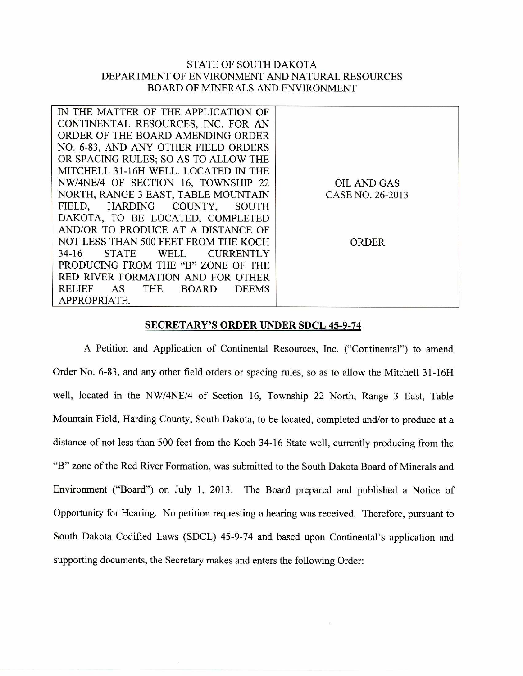## STATE OF SOUTH DAKOTA DEPARTMENT OF ENVIRONMENT AND NATURAL RESOURCES BOARD OF MINERALS AND ENVIRONMENT

| IN THE MATTER OF THE APPLICATION OF                               |                  |
|-------------------------------------------------------------------|------------------|
| CONTINENTAL RESOURCES, INC. FOR AN                                |                  |
| ORDER OF THE BOARD AMENDING ORDER                                 |                  |
| NO. 6-83, AND ANY OTHER FIELD ORDERS                              |                  |
| OR SPACING RULES; SO AS TO ALLOW THE                              |                  |
| MITCHELL 31-16H WELL, LOCATED IN THE                              |                  |
| NW/4NE/4 OF SECTION 16, TOWNSHIP 22                               | OIL AND GAS      |
| NORTH, RANGE 3 EAST, TABLE MOUNTAIN                               | CASE NO. 26-2013 |
| FIELD, HARDING COUNTY, SOUTH                                      |                  |
| DAKOTA, TO BE LOCATED, COMPLETED                                  |                  |
| AND/OR TO PRODUCE AT A DISTANCE OF                                |                  |
| NOT LESS THAN 500 FEET FROM THE KOCH                              | ORDER            |
| $34-16$<br><b>STATE</b><br>WELL<br><b>CURRENTLY</b>               |                  |
| PRODUCING FROM THE "B" ZONE OF THE                                |                  |
| RED RIVER FORMATION AND FOR OTHER                                 |                  |
| <b>RELIEF</b><br>AS<br><b>THE</b><br><b>DEEMS</b><br><b>BOARD</b> |                  |
| APPROPRIATE.                                                      |                  |
|                                                                   |                  |

## **SECRETARY'S ORDER UNDER SDCL 45-9-74**

A Petition and Application of Continental Resources, Inc. ("Continental") to amend Order No. 6-83, and any other field orders or spacing rules, so as to allow the Mitchell 31-16H well, located in the NW/4NE/4 of Section 16, Township 22 North, Range 3 East, Table Mountain Field, Harding County, South Dakota, to be located, completed and/or to produce at a distance of not less than 500 feet from the Koch 34-16 State well, currently producing from the "B" zone of the Red River Formation, was submitted to the South Dakota Board of Minerals and Environment ("Board") on July 1, 2013. The Board prepared and published a Notice of Opportunity for Hearing. No petition requesting a hearing was received. Therefore, pursuant to South Dakota Codified Laws (SDCL) 45-9-74 and based upon Continental's application and supporting documents, the Secretary makes and enters the following Order: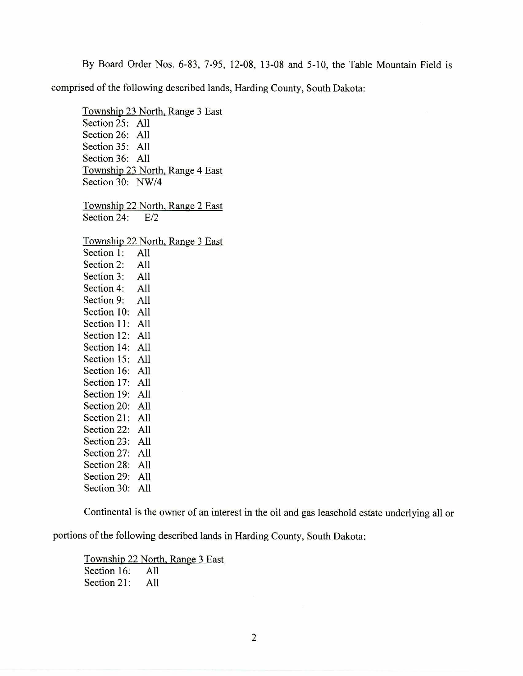By Board Order Nos. 6-83, 7-95, 12-08, 13-08 and 5-10, the Table Mountain Field is

comprised of the following described lands, Harding County, South Dakota:

Township 23 North, Range 3 East Section 25: All Section 26: All Section 35: All Section 36: All Township 23 North, Range 4 East Section 30: NW/4 Township 22 North, Range 2 East Section 24: E/2 Township 22 North, Range 3 East Section 1: All Section 2: All Section 3: All Section 4: All Section 9: All Section 10: All Section 11: All Section 12: All Section 14: All Section 15: All Section 16: All Section 17: All Section 19: All Section 20: All Section 21: All Section 22: All Section 23: All Section 27: All Section 28: All Section 29: All Section 30: All

Continental is the owner of an interest in the oil and gas leasehold estate underlying all or

portions of the following described lands in Harding County, South Dakota:

Township 22 North, Range 3 East Section 16: All Section 21: All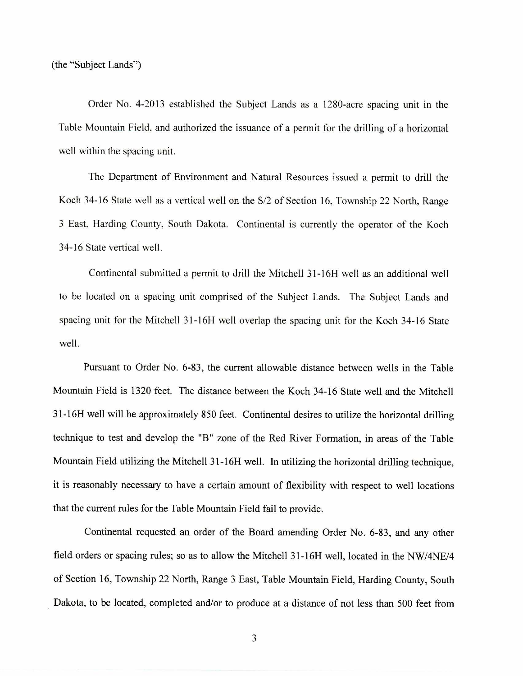Order No. 4-2013 established the Subject Lands as a 1280-acre spacing unit in the Table Mountain Field, and authorized the issuance of a permit for the drilling of a horizontal well within the spacing unit.

The Department of Environment and Natural Resources issued a permit to drill the Koch 34-16 State well as a vertical well on the S/2 of Section 16, Township 22 North, Range 3 East. Harding County, South Dakota. Continental is currently the operator of the Koch 34-16 State vertical well.

Continental submitted a permit to drill the Mitchell 31-16H well as an additional well to be located on a spacing unit comprised of the Subject Lands. The Subject Lands and spacing unit for the Mitchell 31-16H well overlap the spacing unit for the Koch 34-16 State well.

Pursuant to Order No. 6-83, the current allowable distance between wells in the Table Mountain Field is 1320 feet. The distance between the Koch 34-16 State well and the Mitchell 31-16H well will be approximately 850 feet. Continental desires to utilize the horizontal drilling technique to test and develop the "B" zone of the Red River Formation, in areas of the Table Mountain Field utilizing the Mitchell 31-16H well. In utilizing the horizontal drilling technique, it is reasonably necessary to have a certain amount of flexibility with respect to well locations that the current rules for the Table Mountain Field fail to provide.

Continental requested an order of the Board amending Order No. 6-83, and any other field orders or spacing rules; so as to allow the Mitchell 31-16H well, located in the NW/4NE/4 of Section 16, Township 22 North, Range 3 East, Table Mountain Field, Harding County, South Dakota, to be located, completed and/or to produce at a distance of not less than 500 feet from